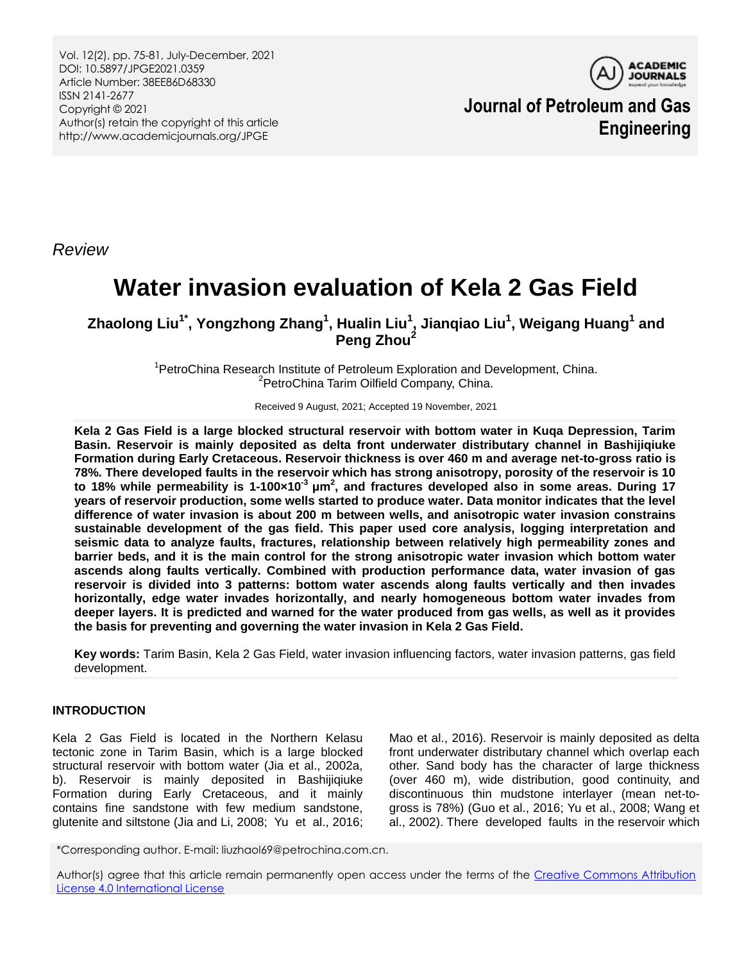Vol. 12(2), pp. 75-81, July-December, 2021 DOI: 10.5897/JPGE2021.0359 Article Number: 38EE86D68330 ISSN 2141-2677 Copyright © 2021 Author(s) retain the copyright of this article http://www.academicjournals.org/JPGE



**Journal of Petroleum and Gas Engineering**

*Review*

# **Water invasion evaluation of Kela 2 Gas Field**

 $\mathsf{Z}$ haolong Liu<sup>1\*</sup>, Yongzhong Zhang<sup>1</sup>, Hualin Liu<sup>1</sup>, Jianqiao Liu<sup>1</sup>, Weigang Huang<sup>1</sup> and **Peng Zhou<sup>2</sup>**

> <sup>1</sup>PetroChina Research Institute of Petroleum Exploration and Development, China. <sup>2</sup>PetroChina Tarim Oilfield Company, China.

> > Received 9 August, 2021; Accepted 19 November, 2021

**Kela 2 Gas Field is a large blocked structural reservoir with bottom water in Kuqa Depression, Tarim Basin. Reservoir is mainly deposited as delta front underwater distributary channel in Bashijiqiuke Formation during Early Cretaceous. Reservoir thickness is over 460 m and average net-to-gross ratio is 78%. There developed faults in the reservoir which has strong anisotropy, porosity of the reservoir is 10 to 18% while permeability is 1-100×10-3 μm<sup>2</sup> , and fractures developed also in some areas. During 17 years of reservoir production, some wells started to produce water. Data monitor indicates that the level difference of water invasion is about 200 m between wells, and anisotropic water invasion constrains sustainable development of the gas field. This paper used core analysis, logging interpretation and seismic data to analyze faults, fractures, relationship between relatively high permeability zones and barrier beds, and it is the main control for the strong anisotropic water invasion which bottom water ascends along faults vertically. Combined with production performance data, water invasion of gas reservoir is divided into 3 patterns: bottom water ascends along faults vertically and then invades horizontally, edge water invades horizontally, and nearly homogeneous bottom water invades from deeper layers. It is predicted and warned for the water produced from gas wells, as well as it provides the basis for preventing and governing the water invasion in Kela 2 Gas Field.**

**Key words:** Tarim Basin, Kela 2 Gas Field, water invasion influencing factors, water invasion patterns, gas field development.

# **INTRODUCTION**

Kela 2 Gas Field is located in the Northern Kelasu tectonic zone in Tarim Basin, which is a large blocked structural reservoir with bottom water (Jia et al., 2002a, b). Reservoir is mainly deposited in Bashijiqiuke Formation during Early Cretaceous, and it mainly contains fine sandstone with few medium sandstone, glutenite and siltstone (Jia and Li, 2008; Yu et al., 2016;

Mao et al., 2016). Reservoir is mainly deposited as delta front underwater distributary channel which overlap each other. Sand body has the character of large thickness (over 460 m), wide distribution, good continuity, and discontinuous thin mudstone interlayer (mean net-togross is 78%) (Guo et al., 2016; Yu et al., 2008; Wang et al., 2002). There developed faults in the reservoir which

\*Corresponding author. E-mail: liuzhaol69@petrochina.com.cn.

Author(s) agree that this article remain permanently open access under the terms of the Creative Commons Attribution [License 4.0 International License](http://creativecommons.org/licenses/by/4.0/deed.en_US)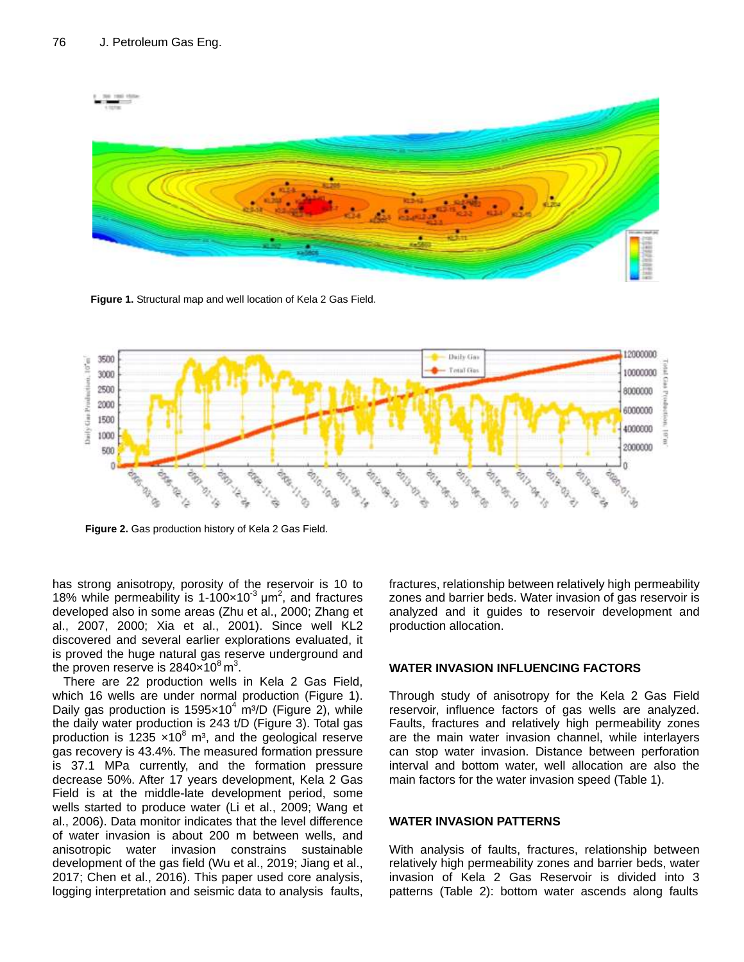

**Figure 1.** Structural map and well location of Kela 2 Gas Field.



**Figure 2.** Gas production history of Kela 2 Gas Field.

has strong anisotropy, porosity of the reservoir is 10 to 18% while permeability is 1-100 $\times$ 10<sup>-3</sup>  $\mu$ m<sup>2</sup>, and fractures developed also in some areas (Zhu et al., 2000; Zhang et al., 2007, 2000; Xia et al., 2001). Since well KL2 discovered and several earlier explorations evaluated, it is proved the huge natural gas reserve underground and the proven reserve is 2840 $\times$ 10 $^8$  m $^3$ .

There are 22 production wells in Kela 2 Gas Field, which 16 wells are under normal production (Figure 1). Daily gas production is  $1595 \times 10^4$  m<sup>3</sup>/D (Figure 2), while the daily water production is 243 t/D (Figure 3). Total gas production is 1235  $\times$ 10<sup>8</sup> m<sup>3</sup>, and the geological reserve gas recovery is 43.4%. The measured formation pressure is 37.1 MPa currently, and the formation pressure decrease 50%. After 17 years development, Kela 2 Gas Field is at the middle-late development period, some wells started to produce water (Li et al., 2009; Wang et al., 2006). Data monitor indicates that the level difference of water invasion is about 200 m between wells, and anisotropic water invasion constrains sustainable development of the gas field (Wu et al., 2019; Jiang et al., 2017; Chen et al., 2016). This paper used core analysis, logging interpretation and seismic data to analysis faults,

fractures, relationship between relatively high permeability zones and barrier beds. Water invasion of gas reservoir is analyzed and it guides to reservoir development and production allocation.

# **WATER INVASION INFLUENCING FACTORS**

Through study of anisotropy for the Kela 2 Gas Field reservoir, influence factors of gas wells are analyzed. Faults, fractures and relatively high permeability zones are the main water invasion channel, while interlayers can stop water invasion. Distance between perforation interval and bottom water, well allocation are also the main factors for the water invasion speed (Table 1).

# **WATER INVASION PATTERNS**

With analysis of faults, fractures, relationship between relatively high permeability zones and barrier beds, water invasion of Kela 2 Gas Reservoir is divided into 3 patterns (Table 2): bottom water ascends along faults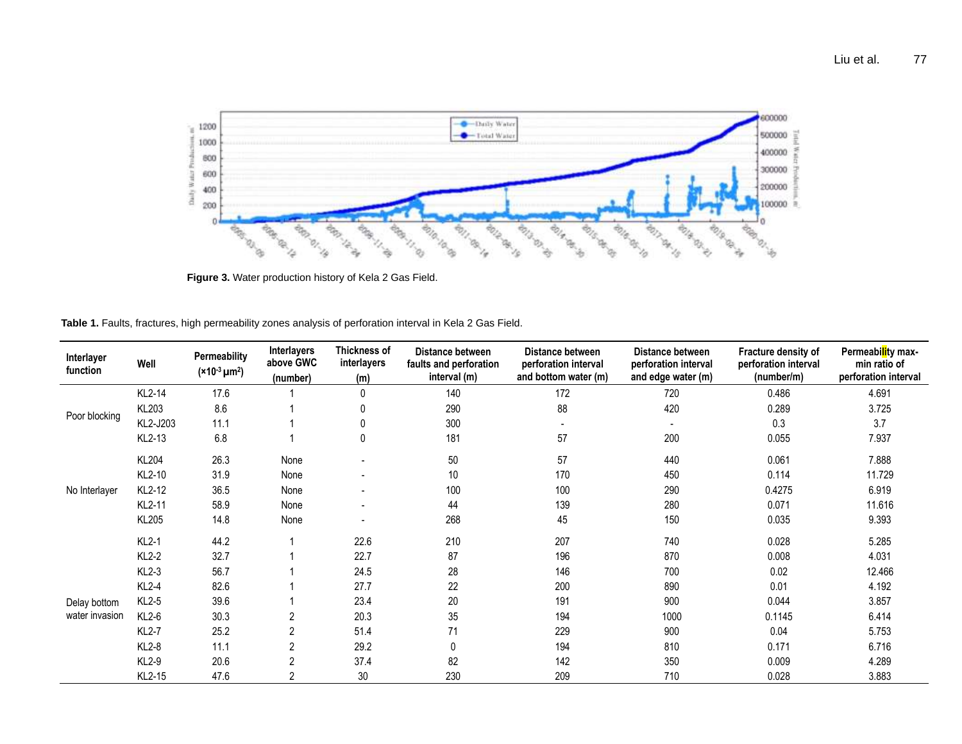

**Figure 3.** Water production history of Kela 2 Gas Field.

| Table 1. Faults, fractures, high permeability zones analysis of perforation interval in Kela 2 Gas Field. |  |  |  |  |  |  |  |  |  |  |  |  |  |  |
|-----------------------------------------------------------------------------------------------------------|--|--|--|--|--|--|--|--|--|--|--|--|--|--|
|-----------------------------------------------------------------------------------------------------------|--|--|--|--|--|--|--|--|--|--|--|--|--|--|

| Interlayer<br>function                          | Well         | Permeability<br>$(*10-3 \mu m2)$ | Interlayers<br>above GWC<br>(number) | Thickness of<br>interlayers<br>(m) | Distance between<br>faults and perforation<br>interval (m) | Distance between<br>perforation interval<br>and bottom water (m) | Distance between<br>perforation interval<br>and edge water (m) | Fracture density of<br>perforation interval<br>(number/m) | Permeability max-<br>min ratio of<br>perforation interval |
|-------------------------------------------------|--------------|----------------------------------|--------------------------------------|------------------------------------|------------------------------------------------------------|------------------------------------------------------------------|----------------------------------------------------------------|-----------------------------------------------------------|-----------------------------------------------------------|
| Poor blocking                                   | KL2-14       | 17.6                             |                                      | $\mathbf{0}$                       | 140                                                        | 172                                                              | 720                                                            | 0.486                                                     | 4.691                                                     |
|                                                 | KL203        | 8.6                              |                                      |                                    | 290                                                        | 88                                                               | 420                                                            | 0.289                                                     | 3.725                                                     |
|                                                 | KL2-J203     | 11.1                             |                                      |                                    | 300                                                        |                                                                  |                                                                | 0.3                                                       | 3.7                                                       |
|                                                 | KL2-13       | 6.8                              |                                      |                                    | 181                                                        | 57                                                               | 200                                                            | 0.055                                                     | 7.937                                                     |
| No Interlayer<br>Delay bottom<br>water invasion | <b>KL204</b> | 26.3                             | None                                 |                                    | 50                                                         | 57                                                               | 440                                                            | 0.061                                                     | 7.888                                                     |
|                                                 | KL2-10       | 31.9                             | None                                 |                                    | 10                                                         | 170                                                              | 450                                                            | 0.114                                                     | 11.729                                                    |
|                                                 | KL2-12       | 36.5                             | None                                 |                                    | 100                                                        | 100                                                              | 290                                                            | 0.4275                                                    | 6.919                                                     |
|                                                 | KL2-11       | 58.9                             | None                                 | $\blacksquare$                     | 44                                                         | 139                                                              | 280                                                            | 0.071                                                     | 11.616                                                    |
|                                                 | KL205        | 14.8                             | None                                 |                                    | 268                                                        | 45                                                               | 150                                                            | 0.035                                                     | 9.393                                                     |
|                                                 | $KL2-1$      | 44.2                             |                                      | 22.6                               | 210                                                        | 207                                                              | 740                                                            | 0.028                                                     | 5.285                                                     |
|                                                 | $KL2-2$      | 32.7                             |                                      | 22.7                               | 87                                                         | 196                                                              | 870                                                            | 0.008                                                     | 4.031                                                     |
|                                                 | $KL2-3$      | 56.7                             |                                      | 24.5                               | 28                                                         | 146                                                              | 700                                                            | 0.02                                                      | 12.466                                                    |
|                                                 | $KL2-4$      | 82.6                             |                                      | 27.7                               | 22                                                         | 200                                                              | 890                                                            | 0.01                                                      | 4.192                                                     |
|                                                 | KL2-5        | 39.6                             |                                      | 23.4                               | 20                                                         | 191                                                              | 900                                                            | 0.044                                                     | 3.857                                                     |
|                                                 | $KL2-6$      | 30.3                             | 2                                    | 20.3                               | 35                                                         | 194                                                              | 1000                                                           | 0.1145                                                    | 6.414                                                     |
|                                                 | <b>KL2-7</b> | 25.2                             | 2                                    | 51.4                               | 71                                                         | 229                                                              | 900                                                            | 0.04                                                      | 5.753                                                     |
|                                                 | $KL2-8$      | 11.1                             | 2                                    | 29.2                               | $\Omega$                                                   | 194                                                              | 810                                                            | 0.171                                                     | 6.716                                                     |
|                                                 | KL2-9        | 20.6                             | $\overline{2}$                       | 37.4                               | 82                                                         | 142                                                              | 350                                                            | 0.009                                                     | 4.289                                                     |
|                                                 | KL2-15       | 47.6                             | 2                                    | 30                                 | 230                                                        | 209                                                              | 710                                                            | 0.028                                                     | 3.883                                                     |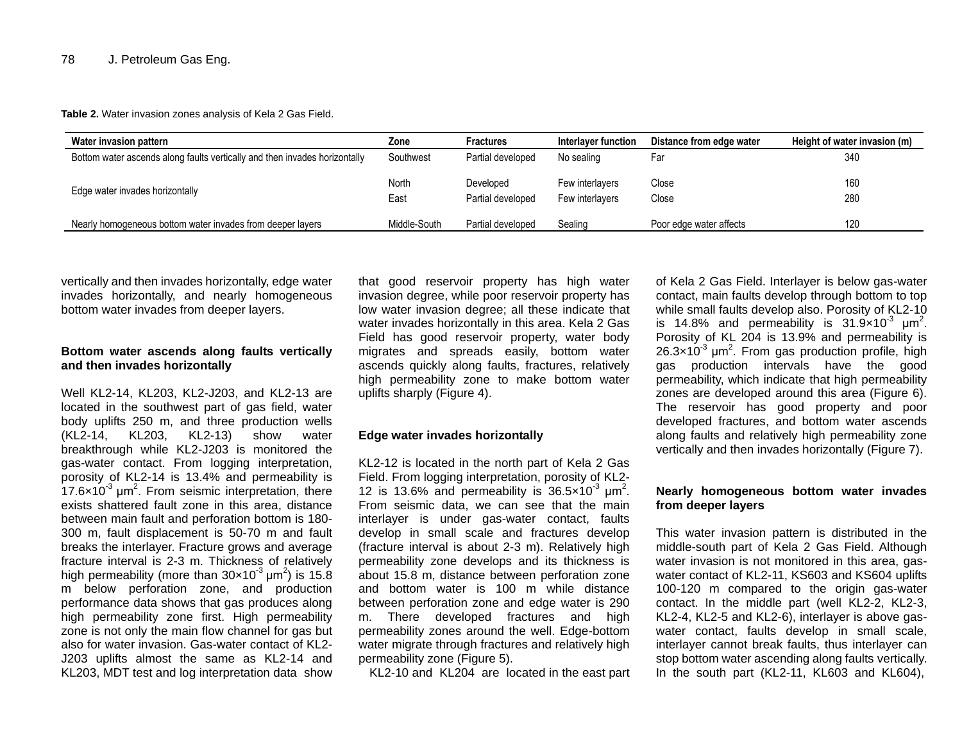**Table 2.** Water invasion zones analysis of Kela 2 Gas Field.

| Water invasion pattern                                                     | Zone          | <b>Fractures</b>               | Interlaver function                | Distance from edge water | Height of water invasion (m) |
|----------------------------------------------------------------------------|---------------|--------------------------------|------------------------------------|--------------------------|------------------------------|
| Bottom water ascends along faults vertically and then invades horizontally | Southwest     | Partial developed              | No sealing                         | Far                      | 340                          |
| Edge water invades horizontally                                            | North<br>East | Developed<br>Partial developed | Few interlayers<br>Few interlavers | Close<br>Close           | 160<br>280                   |
| Nearly homogeneous bottom water invades from deeper layers                 | Middle-South  | Partial developed              | Sealing                            | Poor edge water affects  | 120                          |

vertically and then invades horizontally, edge water invades horizontally, and nearly homogeneous bottom water invades from deeper layers.

# **Bottom water ascends along faults vertically and then invades horizontally**

Well KL2-14, KL203, KL2-J203, and KL2-13 are located in the southwest part of gas field, water body uplifts 250 m, and three production wells (KL2-14, KL203, KL2-13) show water breakthrough while KL2-J203 is monitored the gas-water contact. From logging interpretation, porosity of KL2-14 is 13.4% and permeability is  $17.6\times10^{-3}$  µm<sup>2</sup>. From seismic interpretation, there exists shattered fault zone in this area, distance between main fault and perforation bottom is 180- 300 m, fault displacement is 50-70 m and fault breaks the interlayer. Fracture grows and average fracture interval is 2-3 m. Thickness of relatively high permeability (more than  $30 \times 10^{-3}$  µm<sup>2</sup>) is 15.8 m below perforation zone, and production performance data shows that gas produces along high permeability zone first. High permeability zone is not only the main flow channel for gas but also for water invasion. Gas-water contact of KL2- J203 uplifts almost the same as KL2-14 and KL203, MDT test and log interpretation data show

that good reservoir property has high water invasion degree, while poor reservoir property has low water invasion degree; all these indicate that water invades horizontally in this area. Kela 2 Gas Field has good reservoir property, water body migrates and spreads easily, bottom water ascends quickly along faults, fractures, relatively high permeability zone to make bottom water uplifts sharply (Figure 4).

### **Edge water invades horizontally**

KL2-12 is located in the north part of Kela 2 Gas Field. From logging interpretation, porosity of KL2- 12 is 13.6% and permeability is  $36.5 \times 10^{-3}$  µm<sup>2</sup>. From seismic data, we can see that the main interlayer is under gas-water contact, faults develop in small scale and fractures develop (fracture interval is about 2-3 m). Relatively high permeability zone develops and its thickness is about 15.8 m, distance between perforation zone and bottom water is 100 m while distance between perforation zone and edge water is 290 m. There developed fractures and high permeability zones around the well. Edge-bottom water migrate through fractures and relatively high permeability zone (Figure 5).

KL2-10 and KL204 are located in the east part

of Kela 2 Gas Field. Interlayer is below gas-water contact, main faults develop through bottom to top while small faults develop also. Porosity of KL2-10 is 14.8% and permeability is  $31.9 \times 10^{-3}$   $\mu$ m<sup>2</sup>. Porosity of KL 204 is 13.9% and permeability is  $26.3\times10^{-3}$  µm<sup>2</sup>. From gas production profile, high gas production intervals have the good permeability, which indicate that high permeability zones are developed around this area (Figure 6). The reservoir has good property and poor developed fractures, and bottom water ascends along faults and relatively high permeability zone vertically and then invades horizontally (Figure 7).

### **Nearly homogeneous bottom water invades from deeper layers**

This water invasion pattern is distributed in the middle-south part of Kela 2 Gas Field. Although water invasion is not monitored in this area, gaswater contact of KL2-11, KS603 and KS604 uplifts 100-120 m compared to the origin gas-water contact. In the middle part (well KL2-2, KL2-3, KL2-4, KL2-5 and KL2-6), interlayer is above gaswater contact, faults develop in small scale, interlayer cannot break faults, thus interlayer can stop bottom water ascending along faults vertically. In the south part (KL2-11, KL603 and KL604).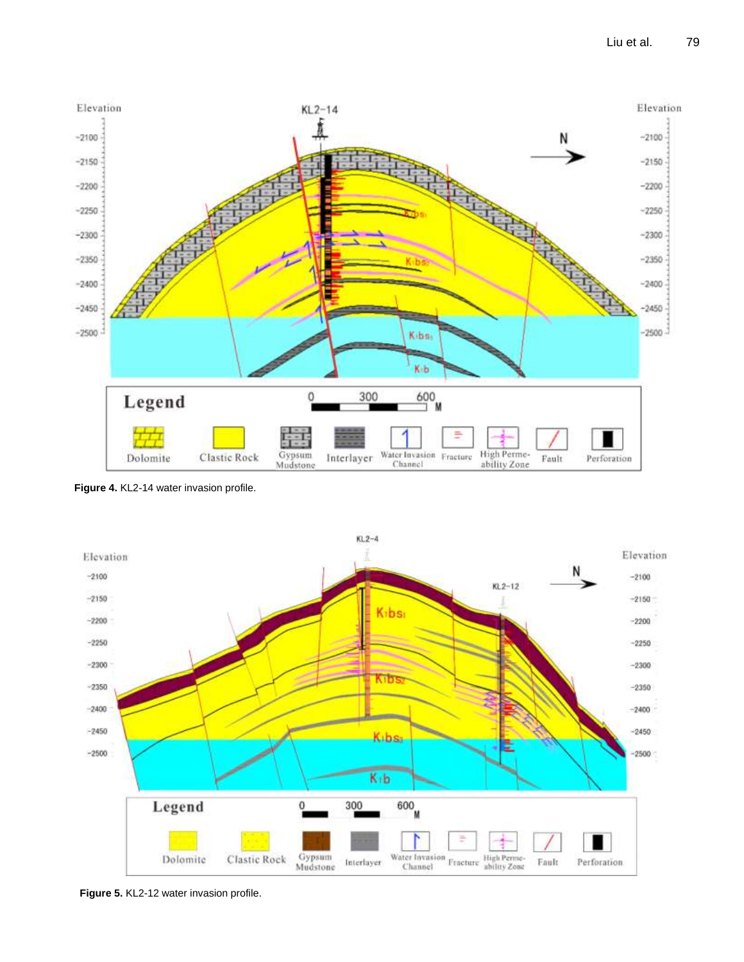

**Figure 4.** KL2-14 water invasion profile.



**Figure 5.** KL2-12 water invasion profile.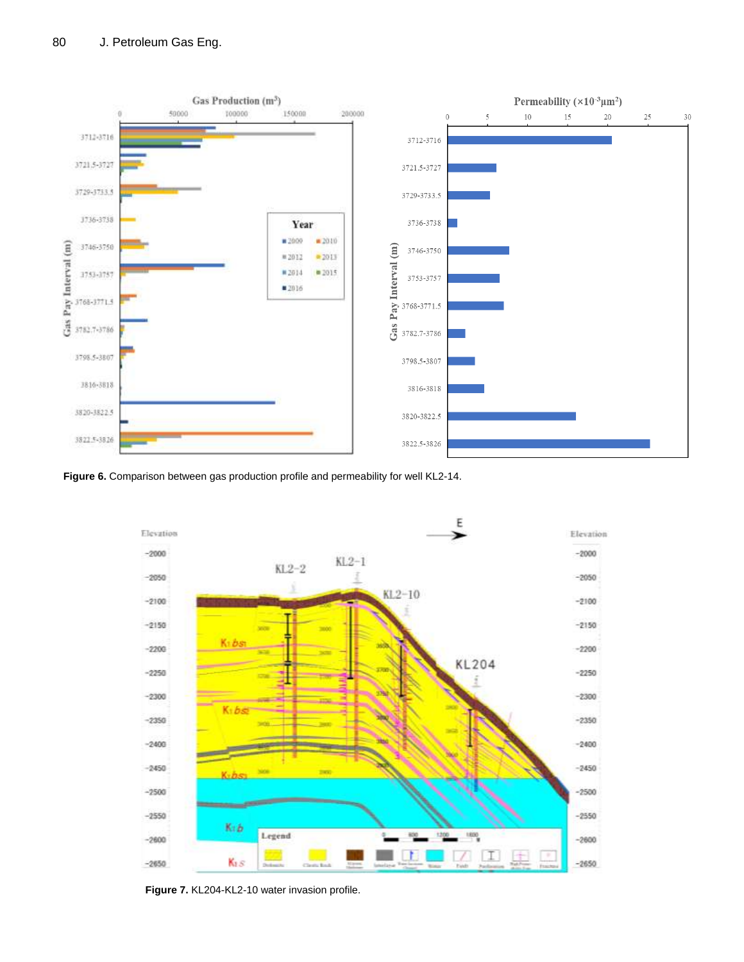

Figure 6. Comparison between gas production profile and permeability for well KL2-14.



**Figure 7.** KL204-KL2-10 water invasion profile.